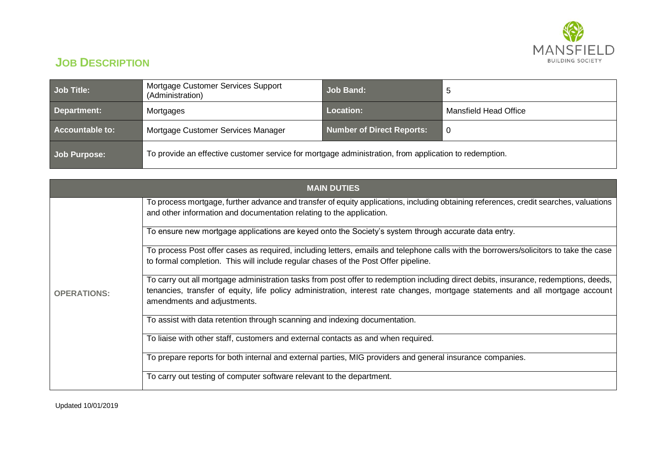

## **JOB DESCRIPTION**

| <b>Job Title:</b>   | Mortgage Customer Services Support<br>(Administration)                                                | Job Band:                 | 5                     |
|---------------------|-------------------------------------------------------------------------------------------------------|---------------------------|-----------------------|
| Department:         | Mortgages                                                                                             | Location:                 | Mansfield Head Office |
| Accountable to:     | Mortgage Customer Services Manager                                                                    | Number of Direct Reports: | -0                    |
| <b>Job Purpose:</b> | To provide an effective customer service for mortgage administration, from application to redemption. |                           |                       |

| <b>MAIN DUTIES</b> |                                                                                                                                                                                                                                                                                                       |  |  |  |
|--------------------|-------------------------------------------------------------------------------------------------------------------------------------------------------------------------------------------------------------------------------------------------------------------------------------------------------|--|--|--|
| <b>OPERATIONS:</b> | To process mortgage, further advance and transfer of equity applications, including obtaining references, credit searches, valuations<br>and other information and documentation relating to the application.                                                                                         |  |  |  |
|                    | To ensure new mortgage applications are keyed onto the Society's system through accurate data entry.                                                                                                                                                                                                  |  |  |  |
|                    | To process Post offer cases as required, including letters, emails and telephone calls with the borrowers/solicitors to take the case<br>to formal completion. This will include regular chases of the Post Offer pipeline.                                                                           |  |  |  |
|                    | To carry out all mortgage administration tasks from post offer to redemption including direct debits, insurance, redemptions, deeds,<br>tenancies, transfer of equity, life policy administration, interest rate changes, mortgage statements and all mortgage account<br>amendments and adjustments. |  |  |  |
|                    | To assist with data retention through scanning and indexing documentation.                                                                                                                                                                                                                            |  |  |  |
|                    | To liaise with other staff, customers and external contacts as and when required.                                                                                                                                                                                                                     |  |  |  |
|                    | To prepare reports for both internal and external parties, MIG providers and general insurance companies.                                                                                                                                                                                             |  |  |  |
|                    | To carry out testing of computer software relevant to the department.                                                                                                                                                                                                                                 |  |  |  |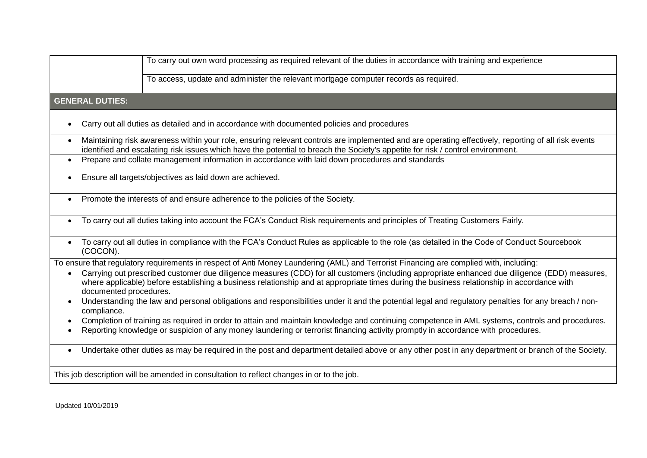|                                                                                                                                                                                                                                                                                                                                    | To carry out own word processing as required relevant of the duties in accordance with training and experience                                                                                                                                                                      |  |  |  |
|------------------------------------------------------------------------------------------------------------------------------------------------------------------------------------------------------------------------------------------------------------------------------------------------------------------------------------|-------------------------------------------------------------------------------------------------------------------------------------------------------------------------------------------------------------------------------------------------------------------------------------|--|--|--|
|                                                                                                                                                                                                                                                                                                                                    | To access, update and administer the relevant mortgage computer records as required.                                                                                                                                                                                                |  |  |  |
| <b>GENERAL DUTIES:</b>                                                                                                                                                                                                                                                                                                             |                                                                                                                                                                                                                                                                                     |  |  |  |
|                                                                                                                                                                                                                                                                                                                                    | Carry out all duties as detailed and in accordance with documented policies and procedures                                                                                                                                                                                          |  |  |  |
| Maintaining risk awareness within your role, ensuring relevant controls are implemented and are operating effectively, reporting of all risk events<br>$\bullet$<br>identified and escalating risk issues which have the potential to breach the Society's appetite for risk / control environment.                                |                                                                                                                                                                                                                                                                                     |  |  |  |
| Prepare and collate management information in accordance with laid down procedures and standards<br>$\bullet$                                                                                                                                                                                                                      |                                                                                                                                                                                                                                                                                     |  |  |  |
| Ensure all targets/objectives as laid down are achieved.<br>$\bullet$                                                                                                                                                                                                                                                              |                                                                                                                                                                                                                                                                                     |  |  |  |
| Promote the interests of and ensure adherence to the policies of the Society.<br>$\bullet$                                                                                                                                                                                                                                         |                                                                                                                                                                                                                                                                                     |  |  |  |
| $\bullet$                                                                                                                                                                                                                                                                                                                          | To carry out all duties taking into account the FCA's Conduct Risk requirements and principles of Treating Customers Fairly.                                                                                                                                                        |  |  |  |
| $\bullet$<br>(COCON).                                                                                                                                                                                                                                                                                                              | To carry out all duties in compliance with the FCA's Conduct Rules as applicable to the role (as detailed in the Code of Conduct Sourcebook                                                                                                                                         |  |  |  |
|                                                                                                                                                                                                                                                                                                                                    | To ensure that regulatory requirements in respect of Anti Money Laundering (AML) and Terrorist Financing are complied with, including:                                                                                                                                              |  |  |  |
| Carrying out prescribed customer due diligence measures (CDD) for all customers (including appropriate enhanced due diligence (EDD) measures,<br>$\bullet$<br>where applicable) before establishing a business relationship and at appropriate times during the business relationship in accordance with<br>documented procedures. |                                                                                                                                                                                                                                                                                     |  |  |  |
| Understanding the law and personal obligations and responsibilities under it and the potential legal and regulatory penalties for any breach / non-<br>compliance.                                                                                                                                                                 |                                                                                                                                                                                                                                                                                     |  |  |  |
| $\bullet$                                                                                                                                                                                                                                                                                                                          | Completion of training as required in order to attain and maintain knowledge and continuing competence in AML systems, controls and procedures.<br>Reporting knowledge or suspicion of any money laundering or terrorist financing activity promptly in accordance with procedures. |  |  |  |
| $\bullet$                                                                                                                                                                                                                                                                                                                          | Undertake other duties as may be required in the post and department detailed above or any other post in any department or branch of the Society.                                                                                                                                   |  |  |  |
| This job description will be amended in consultation to reflect changes in or to the job.                                                                                                                                                                                                                                          |                                                                                                                                                                                                                                                                                     |  |  |  |

Updated 10/01/2019